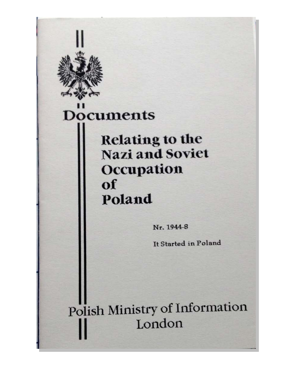

# **Documents**

**Relating to the Nazi and Soviet** Occupation of Poland

Nr. 1944-8

It Started in Poland

Polish Ministry of Information London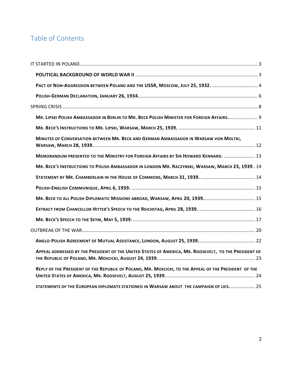# Table of Contents

| PACT OF NON-AGGRESSION BETWEEN POLAND AND THE USSR, MOSCOW, JULY 25, 1932.  4                         |  |
|-------------------------------------------------------------------------------------------------------|--|
|                                                                                                       |  |
|                                                                                                       |  |
| MR. LIPSKI POLISH AMBASSADOR IN BERLIN TO MR. BECK POLISH MINISTER FOR FOREIGN AFFAIRS 9              |  |
|                                                                                                       |  |
| MINUTES OF CONVERSATION BETWEEN MR. BECK AND GERMAN AMBASSADOR IN WARSAW VON MOLTKI,                  |  |
| MEMORANDUM PRESENTED TO THE MINISTRY FOR FOREIGN AFFAIRS BY SIR HOWARD KENNARD.  13                   |  |
| MR. BECK'S INSTRUCTIONS TO POLISH AMBASSADOR IN LONDON MR. RACZYNSKI, WARSAW, MARCH 23, 1939 14       |  |
|                                                                                                       |  |
|                                                                                                       |  |
|                                                                                                       |  |
|                                                                                                       |  |
|                                                                                                       |  |
|                                                                                                       |  |
|                                                                                                       |  |
| APPEAL ADDRESSED BY THE PRESIDENT OF THE UNITED STATES OF AMERICA, MR. ROOSEVELT, TO THE PRESIDENT OF |  |
| REPLY OF THE PRESIDENT OF THE REPUBLIC OF POLAND, MR. MOSCICKI, TO THE APPEAL OF THE PRESIDENT OF THE |  |
| STATEMENTS OF THE EUROPEAN DIPLOMATS STATIONED IN WARSAW ABOUT THE CAMPAIGN OF LIES.  25              |  |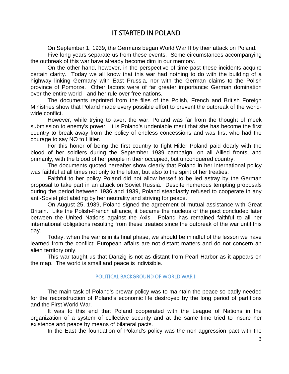# IT STARTED IN POLAND

<span id="page-2-0"></span>On September 1, 1939, the Germans began World War II by their attack on Poland.

Five long years separate us from these events. Some circumstances accompanying the outbreak of this war have already become dim in our memory.

On the other hand, however, in the perspective of time past these incidents acquire certain clarity. Today we all know that this war had nothing to do with the building of a highway linking Germany with East Prussia, nor with the German claims to the Polish province of Pomorze. Other factors were of far greater importance: German domination over the entire world - and her rule over free nations.

The documents reprinted from the files of the Polish, French and British Foreign Ministries show that Poland made every possible effort to prevent the outbreak of the worldwide conflict.

However, while trying to avert the war, Poland was far from the thought of meek submission to enemy's power. It is Poland's undeniable merit that she has become the first country to break away from the policy of endless concessions and was first who had the courage to say NO to Hitler.

For this honor of being the first country to fight Hitler Poland paid dearly with the blood of her soldiers during the September 1939 campaign, on all Allied fronts, and primarily, with the blood of her people in their occupied, but unconquered country.

The documents quoted hereafter show clearly that Poland in her international policy was faithful at all times not only to the letter, but also to the spirit of her treaties.

Faithful to her policy Poland did not allow herself to be led astray by the German proposal to take part in an attack on Soviet Russia. Despite numerous tempting proposals during the period between 1936 and 1939, Poland steadfastly refused to cooperate in any anti-Soviet plot abiding by her neutrality and striving for peace.

On August 25, 1939, Poland signed the agreement of mutual assistance with Great Britain. Like the Polish-French alliance, it became the nucleus of the pact concluded later between the United Nations against the Axis. Poland has remained faithful to all her international obligations resulting from these treaties since the outbreak of the war until this day.

Today, when the war is in its final phase, we should be mindful of the lesson we have learned from the conflict: European affairs are not distant matters and do not concern an alien territory only.

This war taught us that Danzig is not as distant from Pearl Harbor as it appears on the map. The world is small and peace is indivisible.

# POLITICAL BACKGROUND OF WORLD WAR II

<span id="page-2-1"></span>The main task of Poland's prewar policy was to maintain the peace so badly needed for the reconstruction of Poland's economic life destroyed by the long period of partitions and the First World War.

It was to this end that Poland cooperated with the League of Nations in the organization of a system of collective security and at the same time tried to insure her existence and peace by means of bilateral pacts.

In the East the foundation of Poland's policy was the non-aggression pact with the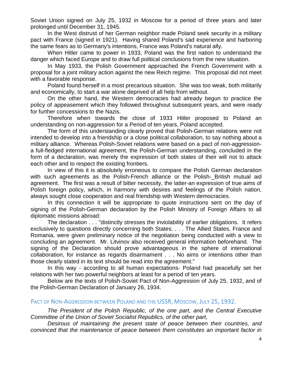Soviet Union signed on July 25, 1932 in Moscow for a period of three years and later prolonged until December 31, 1945.

In the West distrust of her German neighbor made Poland seek security in a military pact with France (signed in 1921). Having shared Poland's sad experience and harboring the same fears as to Germany's intentions, France was Poland's natural ally.

When Hitler came to power in 1933, Poland was the first nation to understand the danger which faced Europe and to draw full political conclusions from the new situation.

In May 1933, the Polish Government approached the French Government with a proposal for a joint military action against the new Reich regime. This proposal did not meet with a favorable response.

Poland found herself in a most precarious situation. She was too weak, both militarily and economically, to start a war alone deprived of all help from without.

On the other hand, the Western democracies had already begun to practice the policy of appeasement which they followed throughout subsequent years, and were ready for further concessions to the Nazis.

Therefore when towards the close of 1933 Hitler proposed to Poland an understanding on non-aggression for a Period of ten years, Poland accepted.

The form of this understanding clearly proved that Polish-German relations were not intended to develop into a friendship or a close political collaboration, to say nothing about a military alliance. Whereas Polish-Soviet relations were based on a pact of non-aggressiona full-fledged international agreement, the Polish-German understanding, concluded in the form of a declaration, was merely the expression of both states of their will not to attack each other and to respect the existing frontiers.

In view of this it is absolutely erroneous to compare the Polish German declaration with such agreements as the Polish-French alliance or the Polish-\_British mutual aid agreement. The first was a result of bitter necessity, the latter-an expression of true aims of Polish foreign policy, which, in harmony with desires and feelings of the Polish nation, always sought close cooperation and real friendship with Western democracies.

In this connection it will be appropriate to quote instructions sent on the day of signing of the Polish-German declaration by the Polish Ministry of Foreign Affairs to all diplomatic missions abroad:

The declaration . . . "distinctly stresses the inviolability of earlier obligations. It refers exclusively to questions directly concerning both States. . . . The Allied States, France and Romania, were given preliminary notice of the negotiation being conducted with a view to concluding an agreement. Mr. Litvinov also received general information beforehand. The signing of the Declaration should prove advantageous in the sphere of international collaboration, for instance as regards disarmament . . . No aims or intentions other than those clearly stated in its text should be read into the agreement."

In this way - according to all human expectations- Poland had peacefully set her relations with her two powerful neighbors at least for a period of ten years.

Below are the texts of Polish-Soviet Pact of Non-Aggression of July 25, 1932, and of the Polish-German Declaration of January 26, 1934.

#### <span id="page-3-0"></span>PACT OF NON-AGGRESSION BETWEEN POLAND AND THE USSR, MOSCOW, JULY 25, 1932.

*The President of the Polish Republic, of the one part, and the Central Executive Committee of the Union of Soviet Socialist Republics, of the other part,*

*Desirous of maintaining the present state of peace between their countries, and convinced that the maintenance of peace between them constitutes an important factor in*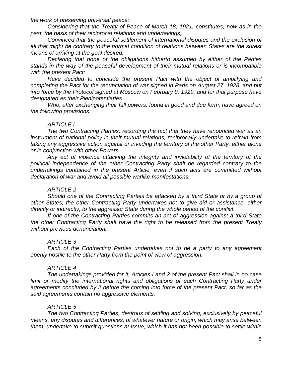*the work of preserving universal peace;*

*Considering that the Treaty of Peace of March 18, 1921, constitutes, now as in the past, the basis of their reciprocal relations and undertakings;*

*Convinced that the peaceful settlement of international disputes and the exclusion of all that might be contrary to the normal condition of relations between States are the surest means of arriving at the goal desired;*

*Declaring that none of the obligations hitherto assumed by either of the Parties stands in the way of the peaceful development of their mutual relations or is incompatible with the present Pact;*

*Have decided to conclude the present Pact with the object of amplifying and completing the Pact for the renunciation of war signed in Paris on August 27, 1928, and put into force by the Protocol signed at Moscow on February 9, 1929, and for that purpose have designated as their Plenipotentiaries . . .*

*Who, after exchanging their full powers, found in good and due form, have agreed on the following provisions:*

# *ARTICLE I*

*The two Contracting Parties, recording the fact that they have renounced war as an*  instrument of national policy in their mutual relations, reciprocally undertake to refrain from *taking any aggressive action against or invading the territory of the other Party, either alone or in conjunction with other Powers.*

*Any act of violence attacking the integrity and inviolability of the territory of the political independence of the other Contracting Party shall be regarded contrary to the undertakings contained in the present Article, even if such acts are committed without declaration of war and avoid all possible warlike manifestations.*

### *ARTICLE 2*

*Should one of the Contracting Parties be attacked by a third State or by a group of other States, the other Contracting Party undertakes not to give aid or assistance, either directly or indirectly, to the aggressor State during the whole period of the conflict.*

*If one of the Contracting Parties commits an act of aggression against a third State the other Contracting Party shall have the right to be released from the present Treaty without previous denunciation.*

#### *ARTICLE 3*

*Each of the Contracting Parties undertakes not to be a party to any agreement openly hostile to the other Party from the point of view of aggression.*

#### *ARTICLE 4*

*The undertakings provided for it, Articles I and 2 of the present Pact shall in no case limit or modify the international rights and obligations of each Contracting Party under agreements concluded by it before the coming into force of the present Pact, so far as the said agreements contain no aggressive elements.*

#### *ARTICLE 5*

*The two Contracting Parties, desirous of settling and solving, exclusively by peaceful means, any disputes and differences, of whatever nature or origin, which may arise between them, undertake to submit questions at issue, which it has not been possible to settle within*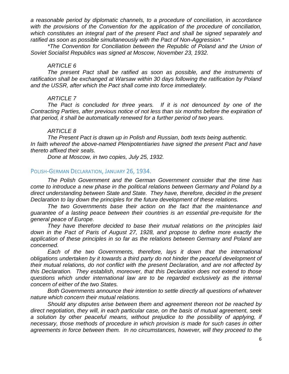*a reasonable period by diplomatic channels, to a procedure of conciliation, in accordance with the provisions of the Convention for the application of the procedure of conciliation, which constitutes an integral part of the present Pact and shall be signed separately and ratified as soon as possible simultaneously with the Pact of Non-Aggression.\**

*\*The Convention for Conciliation between the Republic of Poland and the Union of Soviet Socialist Republics was signed at Moscow, November 23, 1932.*

### *ARTICLE 6*

*The present Pact shall be ratified as soon as possible, and the instruments of ratification shall be exchanged at Warsaw within 30 days following the ratification by Poland and the USSR, after which the Pact shall come into force immediately.*

# *ARTICLE 7*

*The Pact is concluded for three years. If it is not denounced by one of the Contracting Parties, after previous notice of not less than six months before the expiration of that period, it shall be automatically renewed for a further period of two years.*

# *ARTICLE 8*

*The Present Pact is drawn up in Polish and Russian, both texts being authentic. In faith whereof the above-named Plenipotentiaries have signed the present Pact and have thereto affixed their seals.*

*Done at Moscow, in two copies, July 25, 1932.*

### <span id="page-5-0"></span>POLISH-GERMAN DECLARATION, JANUARY 26, 1934.

*The Polish Government and the German Government consider that the time has come to introduce a new phase in the political relations between Germany and Poland by a direct understanding between State and State. They have, therefore, decided in the present Declaration to lay down the principles for the future development of these relations.*

*The two Governments base their action on the fact that the maintenance and guarantee of a lasting peace between their countries is an essential pre-requisite for the general peace of Europe.*

*They have therefore decided to base their mutual relations on the principles laid down in the Pact of Paris of August 27, 1928, and propose to define more exactly the application of these principles in so far as the relations between Germany and Poland are concerned.*

*Each of the two Governments, therefore, lays it down that the international obligations undertaken by it towards a third party do not hinder the peaceful development of their mutual relations, do not conflict with the present Declaration, and are not affected by this Declaration. They establish, moreover, that this Declaration does not extend to those questions which under international law are to be regarded exclusively as the internal concern of either of the two States.*

*Both Governments announce their intention to settle directly all questions of whatever nature which concern their mutual relations.*

*Should any disputes arise between them and agreement thereon not be reached by direct negotiation, they will, in each particular case, on the basis of mutual agreement, seek*  a solution by other peaceful means, without prejudice to the possibility of applying, if *necessary, those methods of procedure in which provision is made for such cases in other agreements in force between them. In no circumstances, however, will they proceed to the*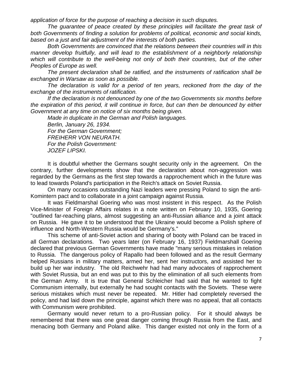*application of force for the purpose of reaching a decision in such disputes.*

*The guarantee of peace created by these principles will facilitate the great task of both Governments of finding a solution for problems of political, economic and social kinds, based on a just and fair adjustment of the interests of both parties.*

*Both Governments are convinced that the relations between their countries will in this manner develop fruitfully, and will lead to the establishment of a neighborly relationship*  which will contribute to the well-being not only of both their countries, but of the other *Peoples of Europe as well.*

*The present declaration shall be ratified, and the instruments of ratification shall be exchanged in Warsaw as soon as possible.*

*The declaration is valid for a period of ten years, reckoned from the day of the exchange of the instruments of ratification.*

*If the declaration is not denounced by one of the two Governments six months before the expiration of this period, it will continue in force, but can then be denounced by either Government at any time on notice of six months being given.*

*Made in duplicate in the German and Polish languages. Berlin, January 26, 1934. For the German Government; FREIHERR VON NEURATH. For the Polish Government: JOZEF LIPSKI.*

It is doubtful whether the Germans sought security only in the agreement. On the contrary, further developments show that the declaration about non-aggression was regarded by the Germans as the first step towards a rapprochement which in the future was to lead towards Poland's participation in the Reich's attack on Soviet Russia.

On many occasions outstanding Nazi leaders were pressing Poland to sign the anti-Komintern pact and to collaborate in a joint campaign against Russia.

It was Fieldmarshal Goering who was most insistent in this respect. As the Polish Vice-Minister of Foreign Affairs relates in a note written on February 10, 1935, Goering "outlined far-reaching plans, almost suggesting an anti-Russian alliance and a joint attack on Russia. He gave it to be understood that the Ukraine would become a Polish sphere of influence and North-Western Russia would be Germany's."

This scheme of anti-Soviet action and sharing of booty with Poland can be traced in all German declarations. Two years later (on February 16, 1937) Fieldmarshall Goering declared that previous German Governments have made "many serious mistakes in relation to Russia. The dangerous policy of Rapallo had been followed and as the result Germany helped Russians in military matters, armed her, sent her instructors, and assisted her to build up her war industry. The old Reichwehr had had many advocates of rapprochement with Soviet Russia, but an end was put to this by the elimination of all such elements from the German Army. It is true that General Schleicher had said that he wanted to fight Communism internally, but externally he had sought contacts with the Soviets. These were serious mistakes which must never be repeated. Mr. Hitler had completely reversed the policy, and had laid down the principle, against which there was no appeal, that all contacts with Communism were prohibited.

Germany would never return to a pro-Russian policy. For it should always be remembered that there was one great danger coming through Russia from the East, and menacing both Germany and Poland alike. This danger existed not only in the form of a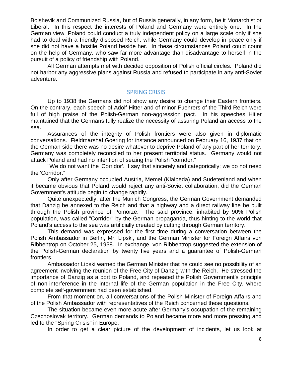Bolshevik and Communized Russia, but of Russia generally, in any form, be it Monarchist or Liberal. In this respect the interests of Poland and Germany were entirely one. In the German view, Poland could conduct a truly independent policy on a large scale only if she had to deal with a friendly disposed Reich, while Germany could develop in peace only if she did not have a hostile Poland beside her. In these circumstances Poland could count on the help of Germany, who saw far more advantage than disadvantage to herself in the pursuit of a policy of friendship with Poland."

All German attempts met with decided opposition of Polish official circles. Poland did not harbor any aggressive plans against Russia and refused to participate in any anti-Soviet adventure.

# SPRING CRISIS

<span id="page-7-0"></span>Up to 1938 the Germans did not show any desire to change their Eastern frontiers. On the contrary, each speech of Adolf Hitter and of minor Fuehrers of the Third Reich were full of high praise of the Polish-German non-aggression pact. In his speeches Hitler maintained that the Germans fully realize the necessity of assuring Poland an access to the sea.

Assurances of the integrity of Polish frontiers were also given in diplomatic conversations. Fieldmarshal Goering for instance announced on February 16, 1937 that on the German side there was no desire whatever to deprive Poland of any part of her territory. Germany was completely reconciled to her present territorial status. Germany would not attack Poland and had no intention of seizing the Polish "corridor."

"We do not want the 'Corridor'. I say that sincerely and categorically; we do not need the 'Corridor."

Only after Germany occupied Austria, Memel (Klaipeda) and Sudetenland and when it became obvious that Poland would reject any anti-Soviet collaboration, did the German Government's attitude begin to change rapidly.

Quite unexpectedly, after the Munich Congress, the German Government demanded that Danzig be annexed to the Reich and that a highway and a direct railway line be built through the Polish province of Pomorze. The said province, inhabited by 90% Polish population, was called "Corridor" by the German propaganda, thus hinting to the world that Poland's access to the sea was artificially created by cutting through German territory.

This demand was expressed for the first time during a conversation between the Polish Ambassador in Berlin, Mr. Lipski, and the German Minister for Foreign Affairs von Ribbentrop on October 25, 1938. In exchange, von Ribbentrop suggested the extension of the Polish-German declaration by twenty five years and a guarantee of Polish-German frontiers.

Ambassador Lipski warned the German Minister that he could see no possibility of an agreement involving the reunion of the Free City of Danzig with the Reich. He stressed the importance of Danzig as a port to Poland, and repeated the Polish Government's principle of non-interference in the internal life of the German population in the Free City, where complete self-government had been established.

From that moment on, all conversations of the Polish Minister of Foreign Affairs and of the Polish Ambassador with representatives of the Reich concerned these questions.

The situation became even more acute after Germany's occupation of the remaining Czechoslovak territory. German demands to Poland became more and more pressing and led to the "Spring Crisis" in Europe.

In order to get a clear picture of the development of incidents, let us look at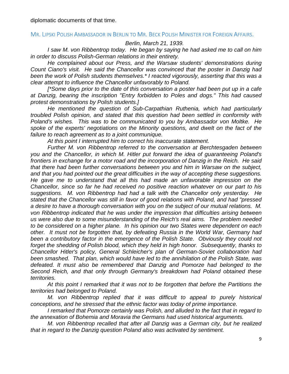diplomatic documents of that time.

### <span id="page-8-0"></span>MR. LIPSKI POLISH AMBASSADOR IN BERLIN TO MR. BECK POLISH MINISTER FOR FOREIGN AFFAIRS.

#### *Berlin, March 21, 1939.*

*I saw M. von Ribbentrop today. He began by saying he had asked me to call on him in order to discuss Polish-German relations in their entirety.*

*He complained about our Press, and the Warsaw students' demonstrations during Count Ciano's visit. He said the Chancellor was convinced that the poster in Danzig had been the work of Polish students themselves.\* I reacted vigorously, asserting that this was a clear attempt to influence the Chancellor unfavorably to Poland.*

*[\*Some days prior to the date of this conversation a poster had been put up in a cafe at Danzig, bearing the inscription "Entry forbidden to Poles and dogs." This had caused protest demonstrations by Polish students.]*

*He mentioned the question of Sub-Carpathian Ruthenia, which had particularly troubled Polish opinion, and stated that this question had been settled in conformity with Poland's wishes. This was to be communicated to you by Ambassador von Moltke. He spoke of the experts' negotiations on the Minority questions, and dwelt on the fact of the failure to reach agreement as to a joint communique.*

*At this point I interrupted him to correct his inaccurate statement.*

*Further M. von Ribbentrop referred to the conversation at Berchtesgaden between you and the Chancellor, in which M. Hitler put forward the idea of guaranteeing Poland's frontiers in exchange for a motor road and the incorporation of Danzig in the Reich. He said that there had been further conversations between you and him in Warsaw on the subject, and that you had pointed out the great difficulties in the way of accepting these suggestions. He gave me to understand that all this had made an unfavorable impression on the Chancellor, since so far he had received no positive reaction whatever on our part to his suggestions. M. von Ribbentrop had had a talk with the Chancellor only yesterday. He stated that the Chancellor was still in favor of good relations with Poland, and had "pressed a desire to have a thorough conversation with you on the subject of our mutual relations. M. von Ribbentrop indicated that he was under the impression that difficulties arising between us were also due to some misunderstanding of the Reich's real aims. The problem needed to be considered on a higher plane. In his opinion our two States were dependent on each other. It must not be forgotten that, by defeating Russia in the World War, Germany had been a contributory factor in the emergence of the Polish State. Obviously they could not*  forget the shedding of Polish blood, which they held in high honor. Subsequently, thanks to *Chancellor Hitler's policy, General Schleicher's plan of German-Soviet collaboration had been smashed. That plan, which would have led to the annihilation of the Polish State, was defeated. It must also be remembered that Danzig and Pomorze had belonged to the Second Reich, and that only through Germany's breakdown had Poland obtained these territories.*

*At this point I remarked that it was not to be forgotten that before the Partitions the territories had belonged to Poland.*

*M.* von Ribbentrop replied that it was difficult to appeal to purely historical *conceptions, and he stressed that the ethnic factor was today of prime importance.*

*I remarked that Pomorze certainly was Polish, and alluded to the fact that in regard to the annexation of Bohemia and Moravia the Germans had used historical arguments.*

*M. von Ribbentrop recalled that after all Danzig was a German city, but he realized that in regard to the Danzig question Poland also was activated by sentiment.*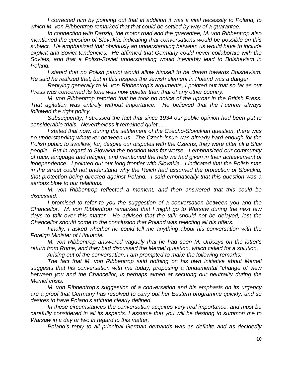*I corrected him by pointing out that in addition it was a vital necessity to Poland, to which M. von Ribbentrop remarked that that could be settled by way of a guarantee.*

*In connection with Danzig, the motor road and the guarantee, M. von Ribbentrop also mentioned the question of Slovakia, indicating that conversations would be possible on this subject. He emphasized that obviously an understanding between us would have to include explicit anti-Soviet tendencies. He affirmed that Germany could never collaborate with the Soviets, and that a Polish-Soviet understanding would inevitably lead to Bolshevism in Poland.*

*I stated that no Polish patriot would allow himself to be drawn towards Bolshevism. He said he realized that, but in this respect the Jewish element in Poland was a danger.*

*Replying generally to M. von Ribbentrop's arguments, I pointed out that so far as our Press was concerned its tone was now quieter than that of any other country.*

*M. von Ribbentrop retorted that he took no notice of the uproar in the British Press. That agitation was entirely without importance. He believed that the Fuehrer always followed the right policy.*

*Subsequently, I stressed the fact that since 1934 our public opinion had been put to considerable trials. Nevertheless it remained quiet . . .*

*I stated that now, during the settlement of the Czecho-Slovakian question, there was no understanding whatever between us. The Czech issue was already hard enough for the Polish public to swallow, for, despite our disputes with the Czechs, they were after all a Slav people. But in regard to Slovakia the position was far worse. I emphasized our community of race, language and religion, and mentioned the help we had given in their achievement of independence. I pointed out our long frontier with Slovakia. I indicated that the Polish man in the street could not understand why the Reich had assumed the protection of Slovakia, that protection being directed against Poland. I said emphatically that this question was a serious blow to our relations.*

*M. von Ribbentrop reflected a moment, and then answered that this could be discussed.*

*I* promised to refer to you the suggestion of a conversation between you and the *Chancellor. M. von Ribbentrop remarked that l might go to Warsaw during the next few*  days to talk over this matter. He advised that the talk should not be delayed, lest the *Chancellor should come to the conclusion that Poland was rejecting all his offers.*

*Finally, I asked whether he could tell me anything about his conversation with the Foreign Minister of Lithuania.*

*M. von Ribbentrop answered vaguely that he had seen M. Urbszys on the latter's return from Rome, and they had discussed the Memel question, which called for a solution.*

*Arising out of the conversation, I am prompted to make the following remarks:*

*The fact that M. von Ribbentrop said nothing on his own initiative about Memel suggests that his conversation with me today, proposing a fundamental "change of view*  between you and the Chancellor, is perhaps aimed at securing our neutrality during the *Memel crisis.*

*M. von Ribbentrop's suggestion of a conversation and his emphasis on its urgency are a proof that Germany has resolved to carry out her Eastern programme quickly, and so desires to have Poland's attitude clearly defined.*

*In these circumstances the conversation acquires very real importance, and must be carefully considered in all its aspects. I assume that you will be desiring to summon me to Warsaw in a day or two in regard to this matter.*

*Poland's reply to all principal German demands was as definite and as decidedly*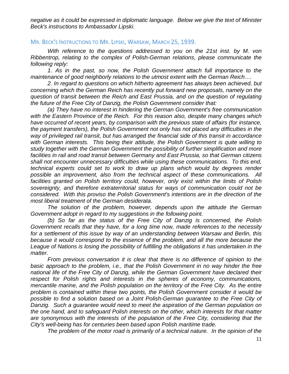*negative as it could be expressed in diplomatic language. Below we give the text of Minister Beck's instructions to Ambassador Lipski.*

# <span id="page-10-0"></span>MR. BECK'S INSTRUCTIONS TO MR. LIPSKI, WARSAW, MARCH 25, 1939.

*With reference to the questions addressed to you on the 21st inst. by M. von Ribbentrop, relating to the complex of Polish-German relations, please communicate the following reply:*

*1. As in the past, so now, the Polish Government attach full importance to the maintenance of good neighborly relations to the utmost extent with the German Reich….*

*2. In regard to questions on which hitherto agreement has always been achieved, but concerning which the German Reich has recently put forward new proposals, namely on the question of transit between the Reich and East Prussia, and on the question of regulating the future of the Free City of Danzig, the Polish Government consider that:*

*(a) They have no interest in hindering the German Government's free communication with the Eastern Province of the Reich. For this reason also, despite many changes which have occurred of recent years, by comparison with the previous state of affairs (for instance, the payment transfers), the Polish Government not only has not placed any difficulties in the way of privileged rail transit, but has arranged the financial side of this transit in accordance with German interests. This being their attitude, the Polish Government is quite willing to study together with the German Government the possibility of further simplification and more facilities in rail and road transit between Germany and East Prussia, so that German citizens shall not encounter unnecessary difficulties while using these communications. To this end, technical experts could set to work to draw up plans which would by degrees render possible an improvement, also from the technical aspect of these communications. All facilities granted on Polish territory could, however, only exist within the limits of Polish sovereignty, and therefore extraterritorial status for ways of communication could not be considered. With this proviso the Polish Government's intentions are in the direction of the most liberal treatment of the German desiderata.*

*The solution of the problem, however, depends upon the attitude the German Government adopt in regard to my suggestions in the following point.*

*(b) So far as the status of the Free City of Danzig is concerned, the Polish Government recalls that they have, for a long time now, made references to the necessity for a settlement of this issue by way of an understanding between Warsaw and Berlin, this because it would correspond to the essence of the problem, and all the more because the League of Nations is losing the possibility of fulfilling the obligations it has undertaken in the matter.*

*From previous conversation it is clear that there is no difference of opinion to the basic approach to the problem, i.e., that the Polish Government in no way hinder the free*  national life of the Free City of Danzig, while the German Government have declared their *respect for Polish rights and interests in the spheres of economy, communications, mercantile marine, and the Polish population on the territory of the Free City. As the entire problem is contained within these two points, the Polish Government consider it would be possible to find a solution based on a Joint Polish-German guarantee to the Free City of Danzig. Such a guarantee would need to meet the aspiration of the German population on the one hand, and to safeguard Polish interests on the other, which interests for that matter are synonymous with the interests of the population of the Free City, considering that the City's well-being has for centuries been based upon Polish maritime trade.*

*The problem of the motor road is primarily of a technical nature. In the opinion of the*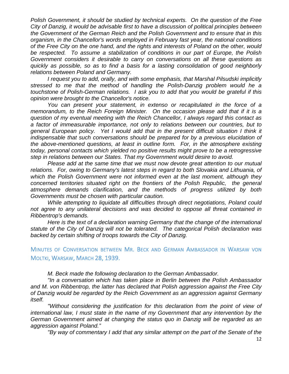*Polish Government, it should be studied by technical experts. On the question of the Free City of Danzig, it would be advisable first to have a discussion of political principles between the Government of the German Reich and the Polish Government and to ensure that in this organism, in the Chancellor's words employed in February fast year, the national conditions of the Free City on the one hand, and the rights and interests of Poland on the other, would be respected. To assume a stabilization of conditions in our part of Europe, the Polish Government considers it desirable to carry on conversations on all these questions as quickly as possible, so as to find a basis for a lasting consolidation of good neighborly relations between Poland and Germany.*

*I request you to add, orally, and with some emphasis, that Marshal Pilsudski implicitly stressed to me that the method of handling the Polish-Danzig problem would he a touchstone of Polish-German relations. I ask you to add that you would be grateful if this opinion were brought to the Chancellor's notice.*

*You can present your statement, in extenso or recapitulated in the force of a memorandum, to the Reich Foreign Minister. On the occasion please add that if it is a question of my eventual meeting with the Reich Chancellor, I always regard this contact as a factor of immeasurable importance, not only to relations between our countries, but to*  general European policy. Yet I would add that in the present difficult situation I think it *indispensable that such conversations should be prepared for by a previous elucidation of the above-mentioned questions, at least in outline form. For, in the atmosphere existing today, personal contacts which yielded no positive results might prove to be a retrogressive step in relations between our States. That my Government would desire to avoid.*

*Please add at the same time that we must now devote great attention to our mutual relations. For, owing to Germany's latest steps in regard to both Slovakia and Lithuania, of which the Polish Government were not informed even at the last moment, although they concerned territories situated right on the frontiers of the Polish Republic, the general atmosphere demands clarification, and the methods of progress utilized by both Governments must be chosen with particular caution.*

*While attempting to liquidate all difficulties through direct negotiations, Poland could not agree to any unilateral decisions and was decided to oppose all threat contained in Ribbentrop's demands.*

*Here is the text of a declaration warning Germany that the change of the international statute of the City of Danzig will not be tolerated. The categorical Polish declaration was backed by certain shifting of troops towards the City of Danzig.*

<span id="page-11-0"></span>MINUTES OF CONVERSATION BETWEEN MR. BECK AND GERMAN AMBASSADOR IN WARSAW VON MOLTKI, WARSAW, MARCH 28, 1939.

*M. Beck made the following declaration to the German Ambassador.*

*"In a conversation which has taken place in Berlin between the Polish Ambassador and M. von Ribbentrop, the latter has declared that Polish aggression against the Free City of Danzig would be regarded by the Reich Government as an aggression against Germany itself.*

*"Without considering the justification for this declaration from the point of view of international law, I must state in the name of my Government that any intervention by the German Government aimed at changing the status quo in Danzig will be regarded as an aggression against Poland."*

*"By way of commentary I add that any similar attempt on the part of the Senate of the*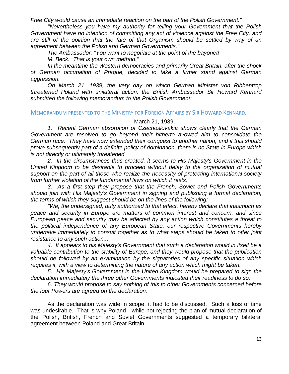*Free City would cause an immediate reaction on the part of the Polish Government."*

*"Nevertheless you have my authority for telling your Government that the Polish Government have no intention of committing any act of violence against the Free City, and are still of the opinion that the fate of that Organism should be settled by way of an agreement between the Polish and German Governments."*

*The Ambassador: "You want to negotiate at the point of the bayonet!"*

*M. Beck: "That is your own method."*

*In the meantime the Western democracies and primarily Great Britain, after the shock of German occupation of Prague, decided to take a firmer stand against German aggression.*

*On March 21, 1939, the very day on which German Minister von Ribbentrop threatened Poland with unilateral action, the British Ambassador Sir Howard Kennard submitted the following memorandum to the Polish Government:*

#### <span id="page-12-0"></span>MEMORANDUM PRESENTED TO THE MINISTRY FOR FOREIGN AFFAIRS BY SIR HOWARD KENNARD.

#### March 21, 1939.

1. Recent German absorption of Czechoslovakia shows clearly that the German *Government are resolved to go beyond their hitherto avowed aim to consolidate the German race. They have now extended their conquest to another nation, and if this should prove subsequently part of a definite policy of domination, there is no State in Europe which is not directly or ultimately threatened.*

*2. In the circumstances thus created, it seems to His Majesty's Government in the United Kingdom to be desirable to proceed without delay to the organization of mutual support on the part of all those who realize the necessity of protecting international society from further violation of the fundamental laws on which it rests.*

*3. As a first step they propose that the French, Soviet and Polish Governments should join with His Majesty's Government in signing and publishing a formal declaration, the terms of which they suggest should be on the lines of the following:*

*"We, the undersigned, duty authorized to that effect, hereby declare that inasmuch as peace and security in Europe are matters of common interest and concern, and since European peace and security may be affected by any action which constitutes a threat to the political independence of any European State, our respective Governments hereby undertake immediately to consult together as to what steps should be taken to offer joint resistance to any such action.,,*

*4. It appears to his Majesty's Government that such a declaration would in itself be a valuable contribution to the stability of Europe, and they would propose that the publication should be followed by an examination by the signatories of any specific situation which requires it, with a view to determining the nature of any action which might be taken.*

*5. His Majesty's Government in the United Kingdom would be prepared to sign the declaration immediately the three other Governments indicated their readiness to do so.* 

*6. They would propose to say nothing of this to other Governments concerned before the four Powers are agreed on the declaration.*

As the declaration was wide in scope, it had to be discussed. Such a loss of time was undesirable. That is why Poland - while not rejecting the plan of mutual declaration of the Polish, British, French and Soviet Governments suggested a temporary bilateral agreement between Poland and Great Britain.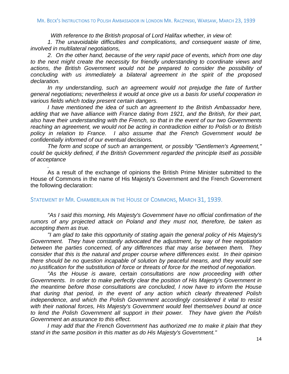*With reference to the British proposal of Lord Halifax whether, in view of:* 

<span id="page-13-0"></span>*1. The unavoidable difficulties and complications, and consequent waste of time, involved in multilateral negotiations,*

*2. On the other hand, because of the very rapid pace of events, which from one day to the next might create the necessity for friendly understanding to coordinate views and actions, the British Government would not be prepared to consider the possibility of concluding with us immediately a bilateral agreement in the spirit of the proposed declaration.*

In my understanding, such an agreement would not prejudge the fate of further *general negotiations; nevertheless it would at once give us a basis for useful cooperation in various fields which today present certain dangers.*

*I have mentioned the idea of such an agreement to the British Ambassador here, adding that we have alliance with France dating from 1921, and the British, for their part, also have their understanding with the French, so that in the event of our two Governments reaching an agreement, we would not be acting in contradiction either to Polish or to British policy in relation to France. I also assume that the French Government would be confidentially informed of our eventual decisions.*

*The form and scope of such an arrangement, or possibly "Gentlemen's Agreement," could be quickly defined, if the British Government regarded the principle itself as possible of acceptance*

*.* As a result of the exchange of opinions the British Prime Minister submitted to the House of Commons in the name of His Majesty's Government and the French Government the following declaration:

# <span id="page-13-1"></span>STATEMENT BY MR. CHAMBERLAIN IN THE HOUSE OF COMMONS, MARCH 31, 1939.

*"As I said this morning, His Majesty's Government have no official confirmation of the rumors of any projected attack on Poland and they must not, therefore, be taken as accepting them as true.*

*"I am glad to take this opportunity of stating again the general policy of His Majesty's Government. They have constantly advocated the adjustment, by way of free negotiation between the parties concerned, of any differences that may arise between them. They consider that this is the natural and proper course where differences exist. In their opinion there should be no question incapable of solution by peaceful means, and they would see no justification for the substitution of force or threats of force for the method of negotiation.*

"As the House is aware, certain consultations are now proceeding with other *Governments. In order to make perfectly clear the position of His Majesty's Government in the meantime before those consultations are concluded, I now have to inform the House that during that period, in the event of any action which clearly threatened Polish independence, and which the Polish Government accordingly considered it vital to resist with their national forces, His Majesty's Government would feel themselves bound at once to lend the Polish Government all support in their power. They have given the Polish Government an assurance to this effect.*

*I may add that the French Government has authorized me to make it plain that they stand in the same position in this matter as do His Majesty's Government."*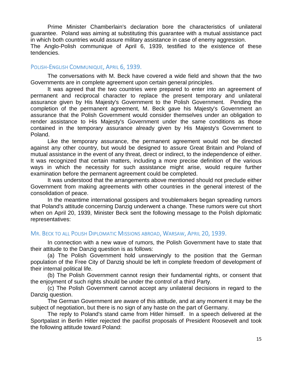Prime Minister Chamberlain's declaration bore the characteristics of unilateral guarantee. Poland was aiming at substituting this guarantee with a mutual assistance pact in which both countries would assure military assistance in case of enemy aggression. The Anglo-Polish communique of April 6, 1939, testified to the existence of these tendencies.

### <span id="page-14-0"></span>POLISH-ENGLISH COMMUNIQUE, APRIL 6, 1939.

The conversations with M. Beck have covered a wide field and shown that the two Governments are in complete agreement upon certain general principles.

It was agreed that the two countries were prepared to enter into an agreement of permanent and reciprocal character to replace the present temporary and unilateral assurance given by His Majesty's Government to the Polish Government. Pending the completion of the permanent agreement, M. Beck gave his Majesty's Government an assurance that the Polish Government would consider themselves under an obligation to render assistance to His Majesty's Government under the same conditions as those contained in the temporary assurance already given by His Majesty's Government to Poland.

Like the temporary assurance, the permanent agreement would not be directed against any other country, but would be designed to assure Great Britain and Poland of mutual assistance in the event of any threat, direct or indirect, to the independence of either. It was recognized that certain matters, including a more precise definition of the various ways in which the necessity for such assistance might arise, would require further examination before the permanent agreement could be completed.

It was understood that the arrangements above mentioned should not preclude either Government from making agreements with other countries in the general interest of the consolidation of peace.

In the meantime international gossipers and troublemakers began spreading rumors that Poland's attitude concerning Danzig underwent a change. These rumors were cut short when on April 20, 1939, Minister Beck sent the following message to the Polish diplomatic representatives:

# <span id="page-14-1"></span>MR. BECK TO ALL POLISH DIPLOMATIC MISSIONS ABROAD, WARSAW, APRIL 20, 1939.

In connection with a new wave of rumors, the Polish Government have to state that their attitude to the Danzig question is as follows:

(a) The Polish Government hold unswervingly to the position that the German population of the Free City of Danzig should be left in complete freedom of development of their internal political life.

(b) The Polish Government cannot resign their fundamental rights, or consent that the enjoyment of such rights should be under the control of a third Party.

(c) The Polish Government cannot accept any unilateral decisions in regard to the Danzig question.

The German Government are aware of this attitude, and at any moment it may be the subject of negotiation, but there is no sign of any haste on the part of Germany.

The reply to Poland's stand came from Hitler himself. In a speech delivered at the Sportpalast in Berlin Hitler rejected the pacifist proposals of President Roosevelt and took the following attitude toward Poland: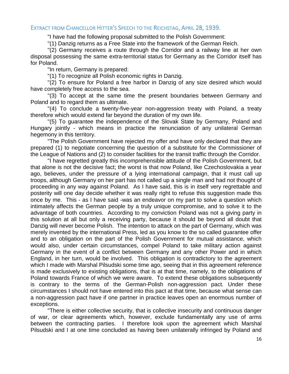# <span id="page-15-0"></span>EXTRACT FROM CHANCELLOR HITTER'S SPEECH TO THE REICHSTAG, APRIL 28, 1939.

"I have had the following proposal submitted to the Polish Government:

"(1) Danzig returns as a Free State into the framework of the German Reich.

"(2) Germany receives a route through the Corridor and a railway line at her own disposal possessing the same extra-territorial status for Germany as the Corridor itself has for Poland.

"In return, Germany is prepared:

"(1) To recognize all Polish economic rights in Danzig.

"(2) To ensure for Poland a free harbor in Danzig of any size desired which would have completely free access to the sea.

"(3) To accept at the same time the present boundaries between Germany and Poland and to regard them as ultimate.

"(4) To conclude a twenty-five-year non-aggression treaty with Poland, a treaty therefore which would extend far beyond the duration of my own life.

"(5) To guarantee the independence of the Slovak State by Germany, Poland and Hungary jointly - which means in practice the renunciation of any unilateral German hegemony in this territory.

"The Polish Government have rejected my offer and have only declared that they are prepared (1) to negotiate concerning the question of a substitute for the Commissioner of the League of Nations and (2) to consider facilities for the transit traffic through the Corridor.

"I have regretted greatly this incomprehensible attitude of the Polish Government, but that alone is not the decisive fact; the worst is that now Poland, like Czechoslovakia a year ago, believes, under the pressure of a lying international campaign, that it must call up troops, although Germany on her part has not called up a single man and had not thought of proceeding in any way against Poland. As I have said, this is in itself very regrettable and posterity will one day decide whether it was really right to refuse this suggestion made this once by me. This - as I have said -was an endeavor on my part to solve a question which intimately affects the German people by a truly unique compromise, and to solve it to the advantage of both countries. According to my conviction Poland was not a giving party in this solution at all but only a receiving party, because it should be beyond all doubt that Danzig will never become Polish. The intention to attack on the part of Germany, which was merely invented by the international Press, led as you know to the so called guarantee offer and to an obligation on the part of the Polish Government for mutual assistance, which would also, under certain circumstances, compel Poland to take military action against Germany in the event of a conflict between Germany and any other Power and in which England, in her turn, would be involved. This obligation is contradictory to the agreement which I made with Marshal Pilsudski some time ago, seeing that in this agreement reference is made exclusively to existing obligations, that is at that time, namely, to the obligations of Poland towards France of which we were aware. To extend these obligations subsequently is contrary to the terms of the German-Polish non-aggression pact. Under these circumstances I should not have entered into this pact at that time, because what sense can a non-aggression pact have if one partner in practice leaves open an enormous number of exceptions.

"There is either collective security, that is collective insecurity and continuous danger of war, or clear agreements which, however, exclude fundamentally any use of arms between the contracting parties. I therefore look upon the agreement which Marshal Pilsudski and I at one time concluded as having been unilaterally infringed by Poland and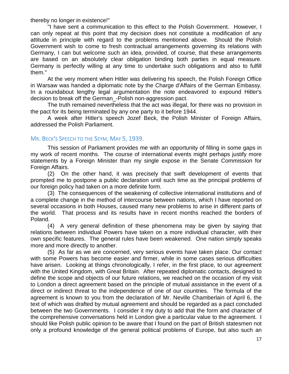thereby no longer in existence!"

"I have sent a communication to this effect to the Polish Government. However, I can only repeat at this point that my decision does not constitute a modification of any attitude in principle with regard to the problems mentioned above. Should the Polish Government wish to come to fresh contractual arrangements governing its relations with Germany, I can but welcome such an idea, provided, of course, that these arrangements are based on an absolutely clear obligation binding both parties in equal measure. Germany is perfectly willing at any time to undertake such obligations and also to fulfill them."

At the very moment when Hitler was delivering his speech, the Polish Foreign Office in Warsaw was handed a diplomatic note by the Charge d'Affairs of the German Embassy. In a roundabout lengthy legal argumentation the note endeavored to expound Hitler's decision to break off the German\_-Polish non-aggression pact.

The truth remained nevertheless that the act was illegal, for there was no provision in the pact for its being terminated by any one party to it before 1944.

A week after Hitler's speech Jozef Beck, the Polish Minister of Foreign Affairs, addressed the Polish Parliament.

# <span id="page-16-0"></span>MR. BECK'S SPEECH TO THE SEYM, MAY 5, 1939.

This session of Parliament provides me with an opportunity of filling in some gaps in my work of recent months. The course of international events might perhaps justify more statements by a Foreign Minister than my single expose in the Senate Commission for Foreign Affairs.

(2) On the other hand, it was precisely that swift development of events that prompted me to postpone a public declaration until such time as the principal problems of our foreign policy had taken on a more definite form.

(3) The consequences of the weakening of collective international institutions and of a complete change in the method of intercourse between nations, which I have reported on several occasions in both Houses, caused many new problems to arise in different parts of the world. That process and its results have in recent months reached the borders of Poland.

(4) A very general definition of these phenomena may be given by saying that relations between individual Powers have taken on a more individual character, with their own specific features. The general rules have been weakened. One nation simply speaks more and more directly to another.

(5) As far as we are concerned, very serious events have taken place. Our contact with some Powers has become easier and firmer, while in some cases serious difficulties have arisen. Looking at things chronologically, I refer, in the first place, to our agreement with the United Kingdom, with Great Britain. After repeated diplomatic contacts, designed to define the scope and objects of our future relations, we reached on the occasion of my visit to London a direct agreement based on the principle of mutual assistance in the event of a direct or indirect threat to the independence of one of our countries. The formula of the agreement is known to you from the declaration of Mr. Neville Chamberlain of April 6, the text of which was drafted by mutual agreement and should be regarded as a pact concluded between the two Governments. I consider it my duty to add that the form and character of the comprehensive conversations held in London give a particular value to the agreement. I should like Polish public opinion to be aware that I found on the part of British statesmen not only a profound knowledge of the general political problems of Europe, but also such an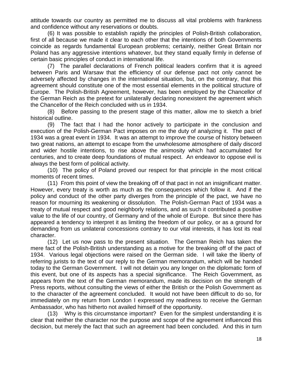attitude towards our country as permitted me to discuss all vital problems with frankness and confidence without any reservations or doubts.

(6) It was possible to establish rapidly the principles of Polish-British collaboration, first of all because we made it clear to each other that the intentions of both Governments coincide as regards fundamental European problems; certainly, neither Great Britain nor Poland has any aggressive intentions whatever, but they stand equally firmly in defense of certain basic principles of conduct in international life.

(7) The parallel declarations of French political leaders confirm that it is agreed between Paris and Warsaw that the efficiency of our defense pact not only cannot be adversely affected by changes in the international situation, but, on the contrary, that this agreement should constitute one of the most essential elements in the political structure of Europe. The Polish-British Agreement, however, has been employed by the Chancellor of the German Reich as the pretext for unilaterally declaring nonexistent the agreement which the Chancellor of the Reich concluded with us in 1934.

(8) Before passing to the present stage of this matter, allow me to sketch a brief historical outline.

(9) The fact that I had the honor actively to participate in the conclusion and execution of the Polish-German Pact imposes on me the duty of analyzing it. The pact of 1934 was a great event in 1934. It was an attempt to improve the course of history between two great nations, an attempt to escape from the unwholesome atmosphere of daily discord and wider hostile intentions, to rise above the animosity which had accumulated for centuries, and to create deep foundations of mutual respect. An endeavor to oppose evil is always the best form of political activity.

(10) The policy of Poland proved our respect for that principle in the most critical moments of recent times.

(11) From this point of view the breaking off of that pact in not an insignificant matter. However, every treaty is worth as much as the consequences which follow it. And if the policy and conduct of the other party diverges from the principle of the pact, we have no reason for mourning its weakening or dissolution. The Polish-German Pact of 1934 was a treaty of mutual respect and good neighborly relations, and as such it contributed a positive value to the life of our country, of Germany and of the whole of Europe. But since there has appeared a tendency to interpret it as limiting the freedom of our policy, or as a ground for demanding from us unilateral concessions contrary to our vital interests, it has lost its real character.

(12) Let us now pass to the present situation. The German Reich has taken the mere fact of the Polish-British understanding as a motive for the breaking off of the pact of 1934. Various legal objections were raised on the German side. I will take the liberty of referring jurists to the text of our reply to the German memorandum, which will be handed today to the German Government. I will not detain you any longer on the diplomatic form of this event, but one of its aspects has a special significance. The Reich Government, as appears from the text of the German memorandum, made its decision on the strength of Press reports, without consulting the views of either the British or the Polish Government as to the character of the agreement concluded. It would not have been difficult to do so, for immediately on my return from London I expressed my readiness to receive the German Ambassador, who has hitherto not availed himself of the opportunity.

(13) Why is this circumstance important? Even for the simplest understanding it is clear that neither the character nor the purpose and scope of the agreement influenced this decision, but merely the fact that such an agreement had been concluded. And this in turn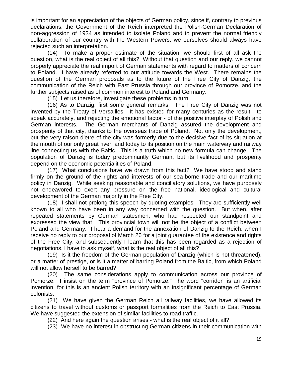is important for an appreciation of the objects of German policy, since if, contrary to previous declarations, the Government of the Reich interpreted the Polish-German Declaration of non-aggression of 1934 as intended to isolate Poland and to prevent the normal friendly collaboration of our country with the Western Powers, we ourselves should always have rejected such an interpretation.

(14) To make a proper estimate of the situation, we should first of all ask the question, what is the real object of all this? Without that question and our reply, we cannot properly appreciate the real import of German statements with regard to matters of concern to Poland. I have already referred to our attitude towards the West. There remains the question of the German proposals as to the future of the Free City of Danzig, the communication of the Reich with East Prussia through our province of Pomorze, and the further subjects raised as of common interest to Poland and Germany.

(15) Let us therefore, investigate these problems in turn.

(16) As to Danzig, first some general remarks. The Free City of Danzig was not invented by the Treaty of Versailles. It has existed for many centuries as the result - to speak accurately, and rejecting the emotional factor - of the positive interplay of Polish and German interests. The German merchants of Danzig assured the development and prosperity of that city, thanks to the overseas trade of Poland. Not only the development, but the very raison d'etre of the city was formerly due to the decisive fact of its situation at the mouth of our only great river, and today to its position on the main waterway and railway line connecting us with the Baltic. This is a truth which no new formula can change. The population of Danzig is today predominantly German, but its livelihood and prosperity depend on the economic potentialities of Poland.

(17) What conclusions have we drawn from this fact? We have stood and stand firmly on the ground of the rights and interests of our sea-borne trade and our maritime policy in Danzig. While seeking reasonable and conciliatory solutions, we have purposely not endeavored to exert any pressure on the free national, ideological and cultural development of the German majority in the Free City.

(18) I shall not prolong this speech by quoting examples. They are sufficiently well known to all who have been in any way concerned with the question. But when, after repeated statements by German statesmen, who had respected our standpoint and expressed the view that "This provincial town will not be the object of a conflict between Poland and Germany," I hear a demand for the annexation of Danzig to the Reich, when I receive no reply to our proposal of March 26 for a joint guarantee of the existence and rights of the Free City, and subsequently I learn that this has been regarded as a rejection of negotiations, l have to ask myself, what is the real object of all this?

(19) Is it the freedom of the German population of Danzig (which is not threatened), or a matter of prestige, or is it a matter of barring Poland from the Baltic, from which Poland will not allow herself to be barred?

(20) The same considerations apply to communication across our province of Pomorze. I insist on the term "province of Pomorze." The word "corridor" is an artificial invention, for this is an ancient Polish territory with an insignificant percentage of German colonists.

(21) We have given the German Reich all railway facilities, we have allowed its citizens to travel without customs or passport formalities from the Reich to East Prussia. We have suggested the extension of similar facilities to road traffic.

(22) And here again the question arises - what is the real object of it all?

(23) We have no interest in obstructing German citizens in their communication with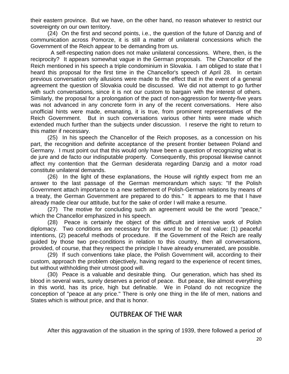their eastern province. But we have, on the other hand, no reason whatever to restrict our sovereignty on our own territory.

(24) On the first and second points, i.e., the question of the future of Danzig and of communication across Pomorze, it is still a matter of unilateral concessions which the Government of the Reich appear to be demanding from us.

 A self-respecting nation does not make unilateral concessions. Where, then, is the reciprocity? It appears somewhat vague in the German proposals. The Chancellor of the Reich mentioned in his speech a triple condominium in Slovakia. I am obliged to state that I heard this proposal for the first time in the Chancellor's speech of April 28. In certain previous conversation only allusions were made to the effect that in the event of a general agreement the question of Slovakia could be discussed. We did not attempt to go further with such conversations, since it is not our custom to bargain with the interest of others. Similarly, the proposal for a prolongation of the pact of non-aggression for twenty-five years was not advanced in any concrete form in any of the recent conversations. Here also unofficial hints were made, emanating, it is true, from prominent representatives of the Reich Government. But in such conversations various other hints were made which extended much further than the subjects under discussion. I reserve the right to return to this matter if necessary.

(25) In his speech the Chancellor of the Reich proposes, as a concession on his part, the recognition and definite acceptance of the present frontier between Poland and Germany. I must point out that this would only have been a question of recognizing what is de jure and de facto our indisputable property. Consequently, this proposal likewise cannot affect my contention that the German desiderata regarding Danzig and a motor road constitute unilateral demands.

(26) In the light of these explanations, the House will rightly expect from me an answer to the last passage of the German memorandum which says: "If the Polish Government attach importance to a new settlement of Polish-German relations by means of a treaty, the German Government are prepared to do this." It appears to me that I have already made clear our attitude, but for the sake of order I will make a resume.

(27) The motive for concluding such an agreement would be the word "peace," which the Chancellor emphasized in his speech.

(28) Peace is certainly the object of the difficult and intensive work of Polish diplomacy. Two conditions are necessary for this word to be of real value: (1) peaceful intentions, (2) peaceful methods of procedure. If the Government of the Reich are really guided by those two pre-conditions in relation to this country, then all conversations, provided, of course, that they respect the principle I have already enumerated, are possible.

(29) If such conventions take place, the Polish Government will, according to their custom, approach the problem objectively, having regard to the experience of recent times, but without withholding their utmost good will.

(30) Peace is a valuable and desirable thing. Our generation, which has shed its blood in several wars, surely deserves a period of peace. But peace, like almost everything in this world, has its price, high but definable. We in Poland do not recognize the conception of "peace at any price." There is only one thing in the life of men, nations and States which is without price, and that is honor.

# OUTBREAK OF THE WAR

<span id="page-19-0"></span>After this aggravation of the situation in the spring of 1939, there followed a period of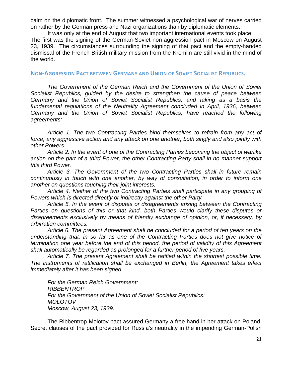calm on the diplomatic front. The summer witnessed a psychological war of nerves carried on rather by the German press and Nazi organizations than by diplomatic elements.

It was only at the end of August that two important international events took place. The first was the signing of the German-Soviet non-aggression pact in Moscow on August 23, 1939. The circumstances surrounding the signing of that pact and the empty-handed dismissal of the French-British military mission from the Kremlin are still vivid in the mind of the world.

**NON-AGGRESSION PACT BETWEEN GERMANY AND UNION OF SOVIET SOCIALIST REPUBLICS.**

*The Government of the German Reich and the Government of the Union of Soviet Socialist Republics, guided by the desire to strengthen the cause of peace between Germany and the Union of Soviet Socialist Republics, and taking as a basis the*  fundamental regulations of the Neutrality Agreement concluded in April, 1936, between *Germany and the Union of Soviet Socialist Republics, have reached the following agreements:*

*Article 1. The two Contracting Parties bind themselves to refrain from any act of force, any aggressive action and any attack on one another, both singly and also jointly with other Powers.*

*Article 2. In the event of one of the Contracting Parties becoming the object of warlike action on the part of a third Power, the other Contracting Party shall in no manner support this third Power.*

*Article 3. The Government of the two Contracting Parties shall in future remain continuously in touch with one another, by way of consultation, in order to inform one another on questions touching their joint interests.*

*Article 4. Neither of the two Contracting Parties shall participate in any grouping of Powers which is directed directly or indirectly against the other Party.*

*Article 5. In the event of disputes or disagreements arising between the Contracting Parties on questions of this or that kind, both Parties would clarify these disputes or disagreements exclusively by means of friendly exchange of opinion, or, if necessary, by arbitration committees.*

*Article 6. The present Agreement shall be concluded for a period of ten years on the understanding that, in so far as one of the Contracting Parties does not give notice of termination one year before the end of this period, the period of validity of this Agreement shall automatically be regarded as prolonged for a further period of five years.*

*Article 7. The present Agreement shall be ratified within the shortest possible time. The instruments of ratification shall be exchanged in Berlin, the Agreement takes effect immediately after it has been signed.*

*For the German Reich Government: RIBBENTROP For the Government of the Union of Soviet Socialist Republics: MOLOTOV Moscow, August 23, 1939.*

The Ribbentrop-Molotov pact assured Germany a free hand in her attack on Poland. Secret clauses of the pact provided for Russia's neutrality in the impending German-Polish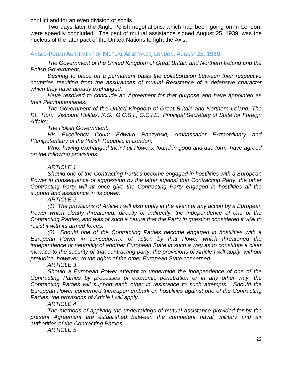conflict and for an even division of spoils.

Two days later the Anglo-Polish negotiations, which had been going on in London, were speedily concluded. The pact of mutual assistance signed August 25, 1939, was the nucleus of the later pact of the United Nations to fight the Axis.

# <span id="page-21-0"></span>ANGLO-POLISH AGREEMENT OF MUTUAL ASSISTANCE, LONDON, AUGUST 25, 1939.

*The Government of the United Kingdom of Great Britain and Northern Ireland and the Polish Government,*

*Desiring to place on a permanent basis the collaboration between their respective countries resulting from the assurances of mutual Resistance of a defensive character which they have already exchanged;*

*Have resolved to conclude an Agreement for that purpose and have appointed as their Plenipotentiaries:*

*The Government of the United Kingdom of Great Britain and Northern Ireland: The Rt. Hon. Viscount Halifax, K.G., G.C.S.I., G.C.I.E., Principal Secretary of State for Foreign Affairs;*

*The Polish Government:*

*His Excellency Count Edward Raczynski, Ambassador Extraordinary and Plenipotentiary of the Polish Republic in London;*

*Who, having exchanged their Full Powers, found in good and due form, have agreed on the following provisions:*

# *ARTICLE 1*

*Should one of the Contracting Parties become engaged in hostilities with a European Power in consequence of aggression by the latter against that Contracting Party, the other Contracting Party will at once give the Contracting Party engaged in hostilities all the support and assistance in its power.*

*ARTICLE 2*

*(1) The provisions of Article I will also apply in the event of any action by a European Power which clearly threatened, directly or indirectly, the independence of one of the Contracting Parties, and was of such a nature that the Party in question considered it vital to resist it with its armed forces.*

*(2) Should one of the Contracting Parties become engaged in hostilities with a European Power in consequence of action by that Power which threatened the independence or neutrality of another European State in such a way as to constitute a clear menace to the security of that contracting party, the provisions of Article I will apply, without prejudice, however, to the rights of the other European State concerned.*

*ARTICLE 3*

*Should a European Power attempt to undermine the independence of one of the Contracting Parties by processes of economic penetration or in any other way, the Contracting Parties will support each other in resistance to such attempts. Should the European Power concerned thereupon embark on hostilities against one of the Contracting Parties, the provisions of Article I will apply.*

# *ARTICLE 4*

*The methods of applying the undertakings of mutual assistance provided for by the present Agreement are established between the competent naval, military and air authorities of the Contracting Parties.*

*ARTICLE 5*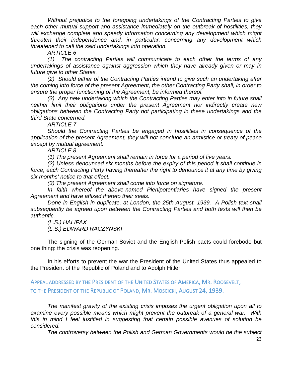*Without prejudice to the foregoing undertakings of the Contracting Parties to give each other mutual support and assistance immediately on the outbreak of hostilities, they will exchange complete and speedy information concerning any development which might threaten their independence and, in particular, concerning any development which threatened to call the said undertakings into operation.*

*ARTICLE 6*

*(1) The contracting Parties will communicate to each other the terms of any undertakings of assistance against aggression which they have already given or may in future give to other States.*

*(2) Should either of the Contracting Parties intend to give such an undertaking after the coming into force of the present Agreement, the other Contracting Party shall, in order to ensure the proper functioning of the Agreement, be informed thereof.*

*(3) Any new undertaking which the Contracting Parties may enter into in future shall neither limit their obligations under the present Agreement nor indirectly create new obligations between the Contracting Party not participating in these undertakings and the third State concerned.*

*ARTICLE 7*

*Should the Contracting Parties be engaged in hostilities in consequence of the application of the present Agreement, they will not conclude an armistice or treaty of peace except by mutual agreement.*

*ARTICLE 8*

*(1) The present Agreement shall remain in force for a period of five years.*

*(2) Unless denounced six months before the expiry of this period it shall continue in*  force, each Contracting Party having thereafter the right to denounce it at any time by giving *six months' notice to that effect.*

*(3) The present Agreement shall come into force on signature.*

In faith whereof the above-named Plenipotentiaries have signed the present *Agreement and have affixed thereto their seals.*

*Done in English in duplicate, at London, the 25th August, 1939. A Polish text shall subsequently be agreed upon between the Contracting Parties and both texts will then be authentic.*

*(L.S.) HALIFAX*

*(L.S.) EDWARD RACZYNSKI*

The signing of the German-Soviet and the English-Polish pacts could forebode but one thing: the crisis was reopening.

In his efforts to prevent the war the President of the United States thus appealed to the President of the Republic of Poland and to Adolph Hitler:

<span id="page-22-0"></span>APPEAL ADDRESSED BY THE PRESIDENT OF THE UNITED STATES OF AMERICA, MR. ROOSEVELT, TO THE PRESIDENT OF THE REPUBLIC OF POLAND, MR. MOSCICKI, AUGUST 24, 1939.

*The manifest gravity of the existing crisis imposes the urgent obligation upon all to examine every possible means which might prevent the outbreak of a general war. With this in mind I feel justified in suggesting that certain possible avenues of solution be considered.*

*The controversy between the Polish and German Governments would be the subject*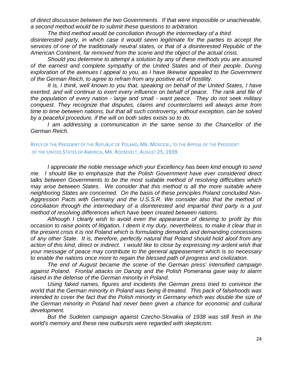*of direct discussion between the two Governments. If that were impossible or unachievable, a second method would be to submit these questions to arbitration.*

*The third method would be conciliation through the intermediary of a third disinterested party, in which case it would seem legitimate for the parties to accept the services of one of the traditionally neutral states, or that of a disinterested Republic of the American Continent, far removed from the scene and the object of the actual crisis.*

*Should you determine to attempt a solution by any of these methods you are assured of the earnest and complete sympathy of the United States and of their people. During exploration of the avenues I appeal to you, as I have likewise appealed to the Government of the German Reich, to agree to refrain from any positive act of hostility.*

*It is, I think, well known to you that, speaking on behalf of the United States, I have*  exerted, and will continue to exert every influence on behalf of peace. The rank and file of *the population of every nation - large and small - want peace. They do not seek military conquest. They recognize that disputes, claims and counterclaims will always arise from time to time between nations, but that all such controversy, without exception, can be solved by a peaceful procedure, if the will on both sides exists so to do.*

*I* am addressing a communication in the same sense to the Chancellor of the *German Reich.*

<span id="page-23-0"></span>REPLY OF THE PRESIDENT OF THE REPUBLIC OF POLAND, MR. MOSCICKI, TO THE APPEAL OF THE PRESIDENT OF THE UNITED STATES OF AMERICA, MR. ROOSEVELT, AUGUST 25, 1939.

*I appreciate the noble message which your Excellency has been kind enough to send me. I should like to emphasize that the Polish Government have ever considered direct talks between Governments to be the most suitable method of resolving difficulties which may arise between States. We consider that this method is all the more suitable where neighboring States are concerned. On the basis of these principles Poland concluded Non-Aggression Pacts with Germany and the U.S.S.R. We consider also that the method of conciliation through the intermediary of a disinterested and impartial third party is a just method of resolving differences which have been created between nations.*

*Although I clearly wish to avoid even the appearance of desiring to profit by this occasion to raise points of litigation, I deem it my duty, nevertheless, to make it clear that in the present crisis it is not Poland which is formulating demands and demanding concessions of any other State. It is, therefore, perfectly natural that Poland should hold aloof from any action of this kind, direct or indirect. I would like to close by expressing my ardent wish that your message of peace may contribute to the general appeasement which is so necessary to enable the nations once more to regain the blessed path of progress and civilization.*

*The end of August became the scene of the German press' intensified campaign against Poland. Frontal attacks on Danzig and the Polish Pomerania gave way to alarm raised in the defense of the German minority in Poland.*

*Using faked names, figures and incidents the German press tried to convince the world that the German minority in Poland was being ill-treated. This pack of falsehoods was*  intended to cover the fact that the Polish minority in Germany which was double the size of *the German minority in Poland had never been given a chance for economic and cultural development.*

*But the Sudeten campaign against Czecho-Slovakia of 1938 was still fresh in the world's memory and these new outbursts were regarded with skepticism.*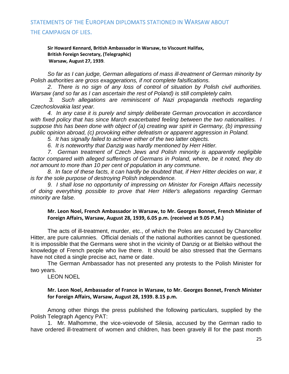# <span id="page-24-0"></span>STATEMENTS OF THE EUROPEAN DIPLOMATS STATIONED IN WARSAW ABOUT THE CAMPAIGN OF LIES.

**Sir Howard Kennard, British Ambassador in Warsaw, to Viscount Halifax, British Foreign Secretary, (Telegraphic) Warsaw, August 27, 1939***.*

*So far as I can judge, German allegations of mass ill-treatment of German minority by Polish authorities are gross exaggerations, if not complete falsifications.*

*2. There is no sign of any loss of control of situation by Polish civil authorities. Warsaw (and so far as I can ascertain the rest of Poland) is still completely calm.*

3. Such allegations are reminiscent of Nazi propaganda methods regarding *Czechoslovakia last year.*

*4. In any case it is purely and simply deliberate German provocation in accordance with fixed policy that has since March exacerbated feeling between the two nationalities. I suppose this has been done with object of (a) creating war spirit in Germany, (b) impressing public opinion abroad, (c) provoking either defeatism or apparent aggression in Poland.*

*5. It has signally failed to achieve either of the two latter objects.*

*6. It is noteworthy that Danzig was hardly mentioned by Herr Hitler.*

*7. German treatment of Czech Jews and Polish minority is apparently negligible factor compared with alleged sufferings of Germans in Poland, where, be it noted, they do not amount to more than 10 per cent of population in any commune.*

*8. In face of these facts, it can hardly be doubted that, if Herr Hitter decides on war, it is for the sole purpose of destroying Polish independence.*

*9. I shall lose no opportunity of impressing on Minister for Foreign Affairs necessity of doing everything possible to prove that Herr Hitler's allegations regarding German minority are false.*

# **Mr. Leon Noel, French Ambassador in Warsaw, to Mr. Georges Bonnet, French Minister of Foreign Affairs, Warsaw, August 28, 1939, 6.05 p.m. (received at 9.05 P.M.)**

The acts of ill-treatment, murder, etc., of which the Poles are accused by Chancellor Hitter, are pure calumnies. Official denials of the national authorities cannot be questioned. It is impossible that the Germans were shot in the vicinity of Danzig or at Bielsko without the knowledge of French people who live there. It should be also stressed that the Germans have not cited a single precise act, name or date.

The German Ambassador has not presented any protests to the Polish Minister for two years.

LEON NOEL

**Mr. Leon Noel, Ambassador of France in Warsaw, to Mr. Georges Bonnet, French Minister for Foreign Affairs, Warsaw, August 28, 1939. 8.15 p.m.**

Among other things the press published the following particulars, supplied by the Polish Telegraph Agency PAT:

1. Mr. Malhomme, the vice-voievode of Silesia, accused by the German radio to have ordered ill-treatment of women and children, has been gravely ill for the past month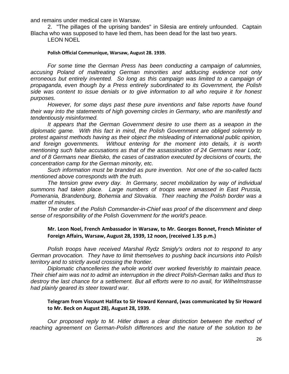and remains under medical care in Warsaw.

2. "The pillages of the uprising bandes" in Silesia are entirely unfounded. Captain Blacha who was supposed to have led them, has been dead for the last two years.

LEON NOEL

#### **Polish Official Communique, Warsaw, August 28. 1939.**

*For some time the German Press has been conducting a campaign of calumnies, accusing Poland of maltreating German minorities and adducing evidence not only erroneous but entirely invented. So long as this campaign was limited to a campaign of propaganda, even though by a Press entirely subordinated to its Government, the Polish side was content to issue denials or to give information to all who require it for honest purposes.*

*However, for some days past these pure inventions and false reports have found their way into the statements of high governing circles in Germany, who are manifestly and tendentiously misinformed.*

*It appears that the German Government desire to use them as a weapon in the diplomatic game. With this fact in mind, the Polish Government are obliged solemnly to protest against methods having as their object the misleading of international public opinion, and foreign governments. Without entering for the moment into details, it is worth mentioning such false accusations as that of the assassination of 24 Germans near Lodz, and of 8 Germans near Bielsko, the cases of castration executed by decisions of courts, the concentration camp for the German minority, etc.*

*Such information must be branded as pure invention. Not one of the so-called facts mentioned above corresponds with the truth.*

*The tension grew every day. In Germany, secret mobilization by way of individual summons had taken place. Large numbers of troops were amassed in East Prussia, Pomerania, Brandenburg, Bohemia and Slovakia. Their reaching the Polish border was a matter of minutes.*

*The order of the Polish Commander-in-Chief was proof of the discernment and deep sense of responsibility of the Polish Government for the world's peace.*

#### **Mr. Leon Noel, French Ambassador in Warsaw, to Mr. Georges Bonnet, French Minister of Foreign Affairs, Warsaw, August 28, 1939, 12 noon, (received 1.35 p.m.)**

*Polish troops have received Marshal Rydz Smigly's orders not to respond to any German provocation. They have to limit themselves to pushing back incursions into Polish territory and to strictly avoid crossing the frontier.*

*Diplomatic chancelleries the whole world over worked feverishly to maintain peace. Their chief aim was not to admit an interruption in the direct Polish-German talks and thus to destroy the last chance for a settlement. But all efforts were to no avail, for Wilhelmstrasse had plainly geared its steer toward war.*

**Telegram from Viscount Halifax to Sir Howard Kennard, (was communicated by Sir Howard to Mr. Beck on August 28), August 28, 1939.**

*Our proposed reply to M. Hitler draws a clear distinction between the method of reaching agreement on German-Polish differences and the nature of the solution to be*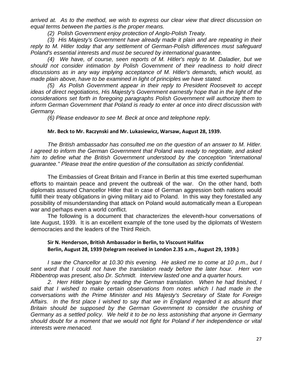*arrived at. As to the method, we wish to express our clear view that direct discussion on equal terms between the parties is the proper means.*

*(2) Polish Government enjoy protection of Anglo-Polish Treaty.*

*(3) His Majesty's Government have already made it plain and are repeating in their reply to M. Hitler today that any settlement of German-Polish differences must safeguard Poland's essential interests and must be secured by international guarantee.*

*(4) We have, of course, seen reports of M. Hitler's reply to M. Daladier, but we should not consider intimation by Polish Government of their readiness to hold direct discussions as in any way implying acceptance of M. Hitler's demands, which would, as made plain above, have to be examined in light of principles we have stated.*

*(5) As Polish Government appear in their reply to President Roosevelt to accept ideas of direct negotiations, His Majesty's Government earnestly hope that in the light of the considerations set forth in foregoing paragraphs Polish Government will authorize them to inform German Government that Poland is ready to enter at once into direct discussion with Germany.*

*(6) Please endeavor to see M. Beck at once and telephone reply.*

# **Mr. Beck to Mr. Raczynski and Mr. Lukasiewicz, Warsaw, August 28, 1939.**

*The British ambassador has consulted me on the question of an answer to M. Hitler. I agreed to inform the German Government that Poland was ready to negotiate, and asked him to define what the British Government understood by the conception "international guarantee." Please treat the entire question of the consultation as strictly confidential.*

The Embassies of Great Britain and France in Berlin at this time exerted superhuman efforts to maintain peace and prevent the outbreak of the war. On the other hand, both diplomats assured Chancellor Hitler that in case of German aggression both nations would fulfill their treaty obligations in giving military aid to Poland. In this way they forestalled any possibility of misunderstanding that attack on Poland would automatically mean a European war and perhaps even a world conflict.

The following is a document that characterizes the eleventh-hour conversations of late August, 1939. It is an excellent example of the tone used by the diplomats of Western democracies and the leaders of the Third Reich.

# **Sir N. Henderson, British Ambassador in Berlin, to Viscount Halifax Berlin, August 28, 1939 (telegram received in London 2.35 a.m., August 29, 1939.)**

*I saw the Chancellor at 10.30 this evening. He asked me to come at 10 p.m., but I sent word that I could not have the translation ready before the later hour. Herr von Ribbentrop was present, also Dr. Schmidt. Interview lasted one and a quarter hours.*

*2. Herr Hitler began by reading the German translation. When he had finished, I said that I wished to make certain observations from notes which I had made in the conversations with the Prime Minister and His Majesty's Secretary of State for Foreign Affairs. In the first place I wished to say that we in England regarded it as absurd that Britain should be supposed by the German Government to consider the crushing of Germany as a settled policy. We held it to be no less astonishing that anyone in Germany should doubt for a moment that we would not fight for Poland if her independence or vital interests were menaced.*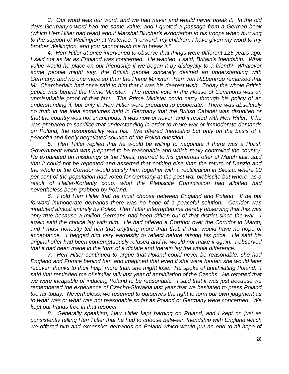*3. Our word was our word, and we had never and would never break it. In the old days Germany's word had the same value, and I quoted a passage from a German book (which Herr Hitler had read) about Marshal Blucher's exhortation to his troops when hurrying to the support of Wellington at Waterloo: "Forward, my children, I have given my word to my brother Wellington, and you cannot wish me to break it."*

*4. Herr Hitler at once intervened to observe that things were different 125 years ago. I said not as far as England was concerned. He wanted, I said, Britain's friendship. What value would he place on our friendship if we began it by disloyalty to a friend? Whatever some people might say, the British people sincerely desired an understanding with Germany, and no one more so than the Prime Minister. Herr von Ribbentrop remarked that Mr. Chamberlain had once said to him that it was his dearest wish. Today the whole British public was behind the Prime Minister. The recent vote in the House of Commons was an unmistakable proof of that fact. The Prime Minister could carry through his policy of an understanding if, but only if, Herr Hitler were prepared to cooperate. There was absolutely no truth in the idea sometimes held in Germany that the British Cabinet was disunited or that the country was not unanimous. It was now or never, and it rested with Herr Hitler. If he was prepared to sacrifice that understanding in order to make war or immoderate demands on Poland, the responsibility was his. We offered friendship but only on the basis of a peaceful and freely negotiated solution of the Polish question.*

*5. Herr Hitler replied that he would be willing to negotiate if there was a Polish Government which was prepared to be reasonable and which really controlled the country. He expatiated on misdoings of the Poles, referred to his generous offer of March last, said that it could not be repeated and asserted that nothing else than the return of Danzig and the whole of the Corridor would satisfy him, together with a rectification in Silesia, where 90*  per cent of the population had voted for Germany at the post-war plebiscite but where, as a *result of Haller-Korfanty coup, what the Plebiscite Commission had allotted had nevertheless been grabbed by Poland.*

*6. I told Herr Hitler that he must choose between England and Poland. If he put forward immoderate demands there was no hope of a peaceful solution. Corridor was inhabited almost entirely by Poles. Herr Hitler interrupted me hereby observing that this was only true because a million Germans had been driven out of that district since the war. I again said the choice lay with him. He had offered a Corridor over the Corridor in March,*  and I must honestly tell him that anything more than that, if that, would have no hope of *acceptance. I begged him very earnestly to reflect before raising his price. He said his original offer had been contemptuously refused and he would not make it again. I observed that it had been made in the form of a dictate and therein lay the whole difference.*

*7. Herr Hitler continued to argue that Poland could never be reasonable: she had England and France behind her, and imagined that even if she were beaten she would later recover, thanks to their help, more than she might lose. He spoke of annihilating Poland. I said that reminded me of similar talk last year of annihilation of the Czechs. He retorted that we were incapable of inducing Poland to be reasonable. I said that it was just because we remembered the experience of Czecho-Slovakia last year that we hesitated to press Poland too far today. Nevertheless, we reserved to ourselves the right to form our own judgment as to what was or what was not reasonable so far as Poland or Germany were concerned. We kept our hands free in that respect.*

*8. Generally speaking, Herr Hitler kept harping on Poland, and I kept on just as consistently telling Herr Hitler that he had to choose between friendship with England which we offered him and excessive demands on Poland which would put an end to all hope of*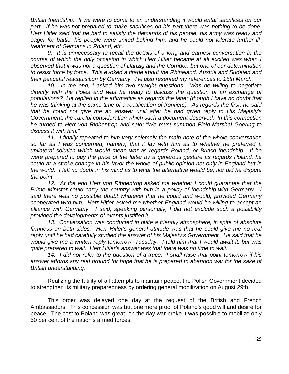*British friendship. If we were to come to an understanding it would entail sacrifices on our*  part. If he was not prepared to make sacrifices on his part there was nothing to be done. *Herr Hitler said that he had to satisfy the demands of his people, his army was ready and eager for battle, his people were united behind him, and he could not tolerate further illtreatment of Germans in Poland, etc.*

*9. It is unnecessary to recall the details of a long and earnest conversation in the course of which the only occasion in which Herr Hitler became at all excited was when I observed that it was not a question of Danzig and the Corridor, but one of our determination to resist force by force. This evoked a tirade about the Rhineland, Austria and Sudeten and their peaceful reacquisition by Germany. He also resented my references to 15th March.*

*10. In the end, I asked him two straight questions. Was he willing to negotiate directly with the Poles and was he ready to discuss the question of an exchange of populations? He replied in the affirmative as regards the latter (though I have no doubt that he was thinking at the same time of a rectification of frontiers). As regards the first, he said that he could not give me an answer until after he had given reply to His Majesty's Government, the careful consideration which such a document deserved. In this connection he turned to Herr von Ribbentrop and said: "We must summon Field-Marshal Goering to discuss it with him."*

*11. I finally repeated to him very solemnly the main note of the whole conversation so far as I was concerned, namely, that it lay with him as to whether he preferred a unilateral solution which would mean war as regards Poland, or British friendship. If he were prepared to pay the price of the latter by a generous gesture as regards Poland, he could at a stroke change in his favor the whole of public opinion not only in England but in the world. I left no doubt in his mind as to what the alternative would be, nor did he dispute the point.*

12. At the end Herr von Ribbentrop asked me whether I could guarantee that the *Prime Minister could carry the country with him in a policy of friendship with Germany. I said there was no possible doubt whatever that he could and would, provided Germany cooperated with him. Herr Hitler asked me whether England would be willing to accept an alliance with Germany. I said, speaking personally, I did not exclude such a possibility provided the developments of events justified it.*

*13. Conversation was conducted in quite a friendly atmosphere, in spite of absolute firmness on both sides. Herr Hitler's general attitude was that he could give me no real reply until he had carefully studied the answer of his Majesty's Government. He said that he would give me a written reply tomorrow, Tuesday. I told him that I would await it, but was quite prepared to wait. Herr Hitler's answer was that there was no time to wait.*

*14. I did not refer to the question of a truce. I shall raise that point tomorrow if his answer affords any real ground for hope that he is prepared to abandon war for the sake of British understanding.*

Realizing the futility of all attempts to maintain peace, the Polish Government decided to strengthen its military preparedness by ordering general mobilization on August 29th.

This order was delayed one day at the request of the British and French Ambassadors. This concession was but one more proof of Poland's good will and desire for peace. The cost to Poland was great; on the day war broke it was possible to mobilize only 50 per cent of the nation's armed forces.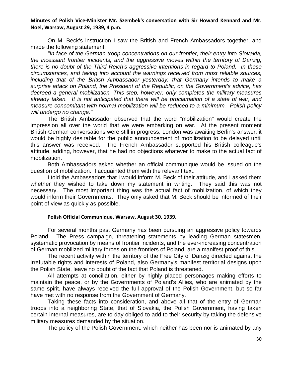**Minutes of Polish Vice-Minister Mr. Szembek's conversation with Sir Howard Kennard and Mr. Noel, Warsaw, August 29, 1939, 4 p.m.**

On M. Beck's instruction I saw the British and French Ambassadors together, and made the following statement:

*"In face of the German troop concentrations on our frontier, their entry into Slovakia, the incessant frontier incidents, and the aggressive moves within the territory of Danzig, there is no doubt of the Third Reich's aggressive intentions in regard to Poland. In these circumstances, and taking into account the warnings received from most reliable sources, including that of the British Ambassador yesterday, that Germany intends to make a surprise attack on Poland, the President of the Republic, on the Government's advice, has decreed a general mobilization. This step, however, only completes the military measures already taken. It is not anticipated that there will be proclamation of a state of war, and measure concomitant with normal mobilization will be reduced to a minimum. Polish policy will undergo no change."*

The British Ambassador observed that the word "mobilization" would create the impression all over the world that we were embarking on war. At the present moment British-German conversations were still in progress, London was awaiting Berlin's answer, it would be highly desirable for the public announcement of mobilization to be delayed until this answer was received. The French Ambassador supported his British colleague's attitude, adding, however, that he had no objections whatever to make to the actual fact of mobilization.

Both Ambassadors asked whether an official communique would be issued on the question of mobilization. I acquainted them with the relevant text.

I told the Ambassadors that I would inform M. Beck of their attitude, and I asked them whether they wished to take down my statement in writing. They said this was not necessary. The most important thing was the actual fact of mobilization, of which they would inform their Governments. They only asked that M. Beck should be informed of their point of view as quickly as possible.

#### **Polish Official Communique, Warsaw, August 30, 1939.**

For several months past Germany has been pursuing an aggressive policy towards Poland. The Press campaign, threatening statements by leading German statesmen, systematic provocation by means of frontier incidents, and the ever-increasing concentration of German mobilized military forces on the frontiers of Poland, are a manifest proof of this.

The recent activity within the territory of the Free City of Danzig directed against the irrefutable rights and interests of Poland, also Germany's manifest territorial designs upon the Polish State, leave no doubt of the fact that Poland is threatened.

All attempts at conciliation, either by highly placed personages making efforts to maintain the peace, or by the Governments of Poland's Allies, who are animated by the same spirit, have always received the full approval of the Polish Government, but so far have met with no response from the Government of Germany.

Taking these facts into consideration, and above all that of the entry of German troops into a neighboring State, that of Slovakia, the Polish Government, having taken certain internal measures, are to-day obliged to add to their security by taking the defensive military measures demanded by the situation.

The policy of the Polish Government, which neither has been nor is animated by any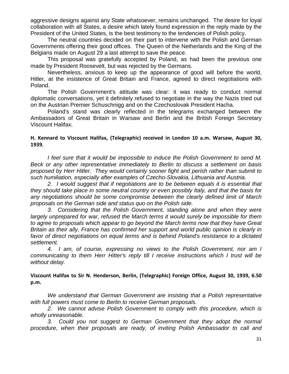aggressive designs against any State whatsoever, remains unchanged. The desire for loyal collaboration with all States, a desire which lately found expression in the reply made by the President of the United States, is the best testimony to the tendencies of Polish policy.

The neutral countries decided on their part to intervene with the Polish and German Governments offering their good offices. The Queen of the Netherlands and the King of the Belgians made on August 29 a last attempt to save the peace.

This proposal was gratefully accepted by Poland, as had been the previous one made by President Roosevelt, but was rejected by the Germans.

Nevertheless, anxious to keep up the appearance of good will before the world, Hitler, at the insistence of Great Britain and France, agreed to direct negotiations with Poland.

The Polish Government's attitude was clear: it was ready to conduct normal diplomatic conversations, yet it definitely refused to negotiate in the way the Nazis tried out on the Austrian Premier Schuschnigg and on the Czechoslovak President Hacha.

Poland's stand was clearly reflected in the telegrams exchanged between the Ambassadors of Great Britain in Warsaw and Berlin and the British Foreign Secretary Viscount Halifax.

# **H. Kennard to Viscount Halifax, (Telegraphic) received in London 10 a.m. Warsaw, August 30, 1939.**

*I feel sure that it would be impossible to induce the Polish Government to send M. Beck or any other representative immediately to Berlin to discuss a settlement on basis proposed by Herr Hitler. They would certainly sooner fight and perish rather than submit to such humiliation, especially after examples of Czecho-Slovakia, Lithuania and Austria.*

*2. I would suggest that if negotiations are to be between equals it is essential that they should take place in some neutral country or even possibly Italy, and that the basis for any negotiations should be some compromise between the clearly defined limit of March proposals on the German side and status quo on the Polish side.*

*3. Considering that the Polish Government, standing alone and when they were largely unprepared for war, refused the March terms it would surely be impossible for them to agree to proposals which appear to go beyond the March terms now that they have Great Britain as their ally, France has confirmed her support and world public opinion is clearly in*  favor of direct negotiations on equal terms and is behind Poland's resistance to a dictated *settlement.*

*4. I am, of course, expressing no views to the Polish Government, nor am I communicating to them Herr Hitter's reply till I receive instructions which I trust will be without delay.*

# **Viscount Halifax to Sir N. Henderson, Berlin, (Telegraphic) Foreign Office, August 30, 1939, 6.50 p.m.**

*We understand that German Government are insisting that a Polish representative with full powers must come to Berlin to receive German proposals.*

*2. We cannot advise Polish Government to comply with this procedure, which is wholly unreasonable.*

*3. Could you not suggest to German Government that they adopt the normal procedure, when their proposals are ready, of inviting Polish Ambassador to call and*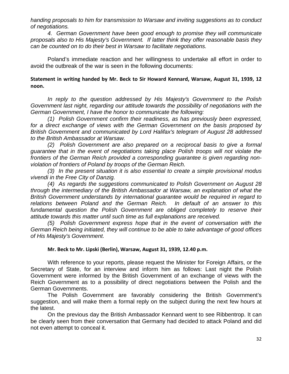*handing proposals to him for transmission to Warsaw and inviting suggestions as to conduct of negotiations.*

*4. German Government have been good enough to promise they will communicate proposals also to His Majesty's Government. If latter think they offer reasonable basis they can be counted on to do their best in Warsaw to facilitate negotiations.*

Poland's immediate reaction and her willingness to undertake all effort in order to avoid the outbreak of the war is seen in the following documents:

# **Statement in writing handed by Mr. Beck to Sir Howard Kennard, Warsaw, August 31, 1939, 12 noon.**

*In reply to the question addressed by His Majesty's Government to the Polish Government last night, regarding our attitude towards the possibility of negotiations with the German Government, I have the honor to communicate the following:*

*(1) Polish Government confirm their readiness, as has previously been expressed, for a direct exchange of views with the German Government on the basis proposed by British Government and communicated by Lord Halifax's telegram of August 28 addressed to the British Ambassador at Warsaw.*

*(2) Polish Government are also prepared on a reciprocal basis to give a formal guarantee that in the event of negotiations taking place Polish troops will not violate the frontiers of the German Reich provided a corresponding guarantee is given regarding nonviolation of frontiers of Poland by troops of the German Reich.*

*(3) In the present situation it is also essential to create a simple provisional modus vivendi in the Free City of Danzig.*

*(4) As regards the suggestions communicated to Polish Government on August 28 through the intermediary of the British Ambassador at Warsaw, an explanation of what the British Government understands by international guarantee would be required in regard to relations between Poland and the German Reich. In default of an answer to this*  fundamental question the Polish Government are obliged completely to reserve their *attitude towards this matter until such time as full explanations are received.*

*(5) Polish Government express hope that in the event of conversation with the German Reich being initiated, they will continue to be able to take advantage of good offices of His Majesty's Government.*

# **Mr. Beck to Mr. Lipski (Berlin), Warsaw, August 31, 1939, 12.40 p.m.**

With reference to your reports, please request the Minister for Foreign Affairs, or the Secretary of State, for an interview and inform him as follows: Last night the Polish Government were informed by the British Government of an exchange of views with the Reich Government as to a possibility of direct negotiations between the Polish and the German Governments.

The Polish Government are favorably considering the British Government's suggestion, and will make them a formal reply on the subject during the next few hours at the latest.

On the previous day the British Ambassador Kennard went to see Ribbentrop. It can be clearly seen from their conversation that Germany had decided to attack Poland and did not even attempt to conceal it.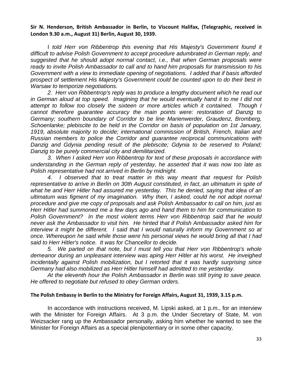**Sir N. Henderson, British Ambassador in Berlin, to Viscount Halifax, (Telegraphic, received in London 9.30 a.m., August 31) Berlin, August 30, 1939.**

I told Herr von Ribbentrop this evening that His Majesty's Government found it *difficult to advise Polish Government to accept procedure adumbrated in German reply, and suggested that he should adopt normal contact, i.e., that when German proposals were ready to invite Polish Ambassador to call and to hand him proposals for transmission to his Government with a view to immediate opening of negotiations. I added that if basis afforded prospect of settlement His Majesty's Government could be counted upon to do their best in Warsaw to temporize negotiations.*

*2. Herr von Ribbentrop's reply was to produce a lengthy document which he read out in German aloud at top speed. Imagining that he would eventually hand it to me I did not attempt to follow too closely the sixteen or more articles which it contained. Though I cannot therefore guarantee accuracy the main points were: restoration of Danzig to Germany; southern boundary of Corridor to be line Marienwerder, Graudenz, Bromberg, Schoenlanke; plebiscite to be held in the Corridor on basis of population on 1st January, 1919, absolute majority to decide; international commission of British, French, Italian and Russian members to police the Corridor and guarantee reciprocal communications with Danzig and Gdynia pending result of the plebiscite; Gdynia to be reserved to Poland; Danzig to be purely commercial city and demilitarized.*

*3. When I asked Herr von Ribbentrop for text of these proposals in accordance with understanding in the German reply of yesterday, he asserted that it was now too late as Polish representative had not arrived in Berlin by midnight.*

*4. I observed that to treat matter in this way meant that request for Polish representative to arrive in Berlin on 30th August constituted, in fact, an ultimatum in spite of what he and Herr Hitler had assured me yesterday. This he denied, saying that idea of an ultimatum was figment of my imagination. Why then, I asked, could he not adopt normal procedure and give me copy of proposals and ask Polish Ambassador to call on him, just as Herr Hitler had summoned me a few days ago and hand them to him for communication to Polish Government? In the most violent terms Herr von Ribbentrop said that he would never ask the Ambassador to visit him. He hinted that if Polish Ambassador asked him for interview it might be different. I said that I would naturally inform my Government so at once. Whereupon he said while those were his personal views he would bring all that I had said to Herr Hitler's notice. It was for Chancellor to decide.*

*5. We parted on that note, but I must tell you that Herr von Ribbentrop's whole demeanor during an unpleasant interview was aping Herr Hitler at his worst. He inveighed incidentally against Polish mobilization, but I retorted that it was hardly surprising since Germany had also mobilized as Herr Hitler himself had admitted to me yesterday.*

*At the eleventh hour the Polish Ambassador in Berlin was still trying to save peace. He offered to negotiate but refused to obey German orders.*

#### **The Polish Embassy in Berlin to the Ministry for Foreign Affairs, August 31, 1939, 3.15 p.m.**

In accordance with instructions received, M. Lipski asked, at 1 p.m., for an interview with the Minister for Foreign Affairs. At 3 p.m. the Under Secretary of State, M. von Weizsacker rang up the Ambassador personally, asking him whether he wanted to see the Minister for Foreign Affairs as a special plenipotentiary or in some other capacity.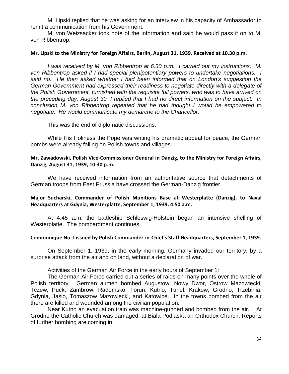M. Lipski replied that he was asking for an interview in his capacity of Ambassador to remit a communication from his Government.

M. von Weizsacker took note of the information and said he would pass it on to M. von Ribbentrop.

#### **Mr. Lipski to the Ministry for Foreign Affairs, Berlin, August 31, 1939, Received at 10.30 p.m.**

*I was received by M. von Ribbentrop at 6.30 p.m. I carried out my instructions. M. von Ribbentrop asked if I had special plenipotentiary powers to undertake negotiations. I said no. He then asked whether I had been informed that on London's suggestion the German Government had expressed their readiness to negotiate directly with a delegate of the Polish Government, furnished with the requisite full powers, who was to have arrived on the preceding day, August 30. I replied that I had no direct information on the subject. In conclusion M. von Ribbentrop repeated that he had thought I would be empowered to negotiate. He would communicate my demarche to the Chancellor.*

This was the end of diplomatic discussions.

While His Holiness the Pope was writing his dramatic appeal for peace, the German bombs were already falling on Polish towns and villages.

### **Mr. Zawadowski, Polish Vice-Commissioner General in Danzig, to the Ministry for Foreign Affairs, Danzig, August 31, 1939, 10.30 p.m.**

We have received information from an authoritative source that detachments of German troops from East Prussia have crossed the German-Danzig frontier.

# **Major Sucharski, Commander of Polish Munitions Base at Westerplatte (Danzig), to Naval Headquarters at Gdynia, Westerplatte, September 1, 1939, 4:50 a.m.**

At 4.45 a.m. the battleship Schleswig-Holstein began an intensive shelling of Westerplatte. The bombardment continues.

#### **Communique No. I issued by Polish Commander-in-Chief's Staff Headquarters, September 1, 1939.**

On September 1, 1939, in the early morning, Germany invaded our territory, by a surprise attack from the air and on land, without a declaration of war.

Activities of the German Air Force in the early hours of September 1:

The German Air Force carried out a series of raids on many points over the whole of Polish territory. German airmen bombed Augustow, Nowy Dwor, Ostrow Mazowiecki, Tczew, Puck, Zambrow, Radomsko, Torun, Kutno, Tunel, Krakow, Grodno, Trzebinia, Gdynia, Jaslo, Tomaszow Mazowiecki, and Katowice. In the towns bombed from the air there are killed and wounded among the civilian population.

Near Kutno an evacuation train was machine-gunned and bombed from the air. \_At Grodno the Catholic Church was damaged, at Biala Podlaska an Orthodox Church. Reports of further bombing are coming in.